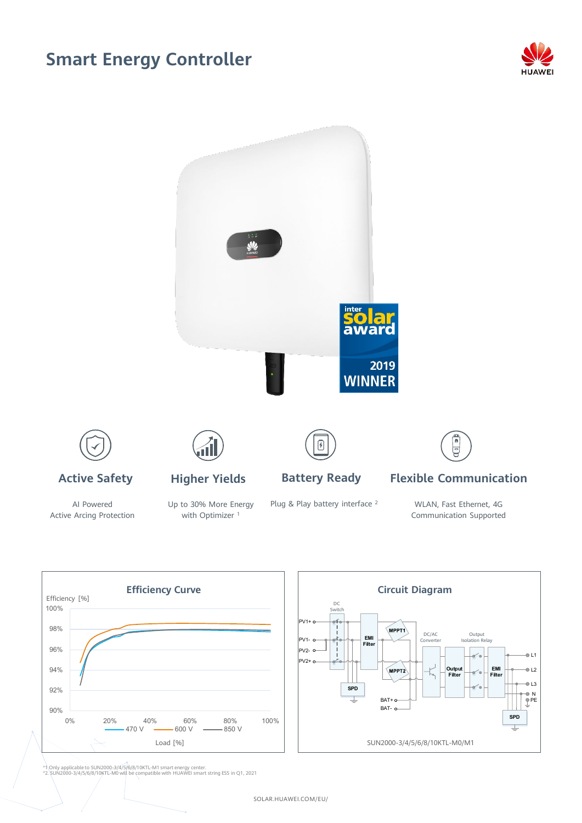## **Smart Energy Controller**





AI Powered Active Arcing Protection Up to 30% More Energy with Optimizer<sup>1</sup>

Plug & Play battery interface <sup>2</sup>

WLAN, Fast Ethernet, 4G Communication Supported



\*1 Only applicable to SUN2000-3/4/5/6/8/10KTL-M1 smart energy center. \*2. SUN2000-3/4/5/6/8/10KTL-M0 will be compatible with HUAWEI smart string ESS in Q1, 2021